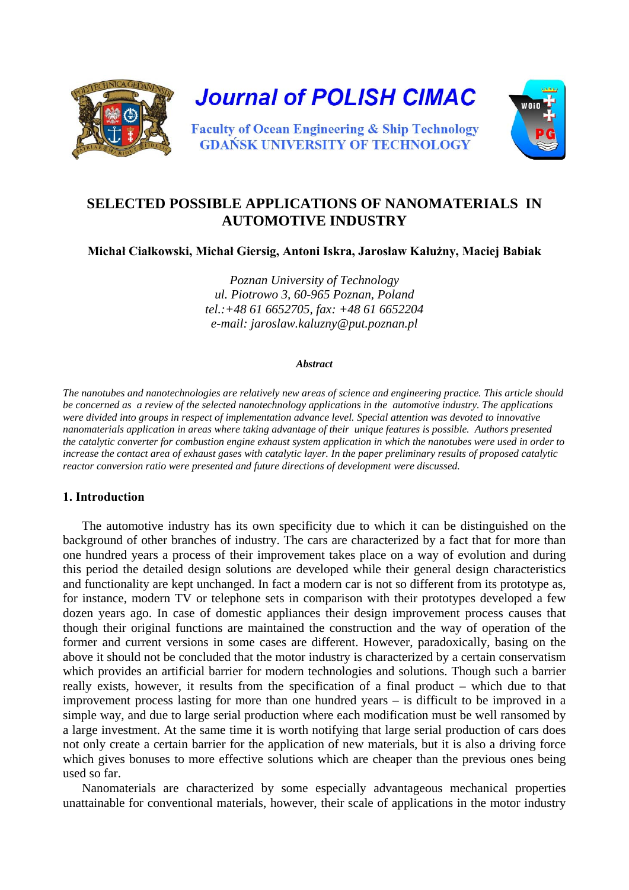

# **SELECTED POSSIBLE APPLICATIONS OF NANOMATERIALS IN AUTOMOTIVE INDUSTRY**

**Michał Ciałkowski, Michał Giersig, Antoni Iskra, Jarosław Kałużny, Maciej Babiak**

*Poznan University of Technology ul. Piotrowo 3, 60-965 Poznan, Poland tel.:+48 61 6652705, fax: +48 61 6652204 e-mail: jaroslaw.kaluzny@put.poznan.pl* 

#### *Abstract*

*The nanotubes and nanotechnologies are relatively new areas of science and engineering practice. This article should be concerned as a review of the selected nanotechnology applications in the automotive industry. The applications were divided into groups in respect of implementation advance level. Special attention was devoted to innovative nanomaterials application in areas where taking advantage of their unique features is possible. Authors presented the catalytic converter for combustion engine exhaust system application in which the nanotubes were used in order to increase the contact area of exhaust gases with catalytic layer. In the paper preliminary results of proposed catalytic reactor conversion ratio were presented and future directions of development were discussed.* 

#### **1. Introduction**

The automotive industry has its own specificity due to which it can be distinguished on the background of other branches of industry. The cars are characterized by a fact that for more than one hundred years a process of their improvement takes place on a way of evolution and during this period the detailed design solutions are developed while their general design characteristics and functionality are kept unchanged. In fact a modern car is not so different from its prototype as, for instance, modern TV or telephone sets in comparison with their prototypes developed a few dozen years ago. In case of domestic appliances their design improvement process causes that though their original functions are maintained the construction and the way of operation of the former and current versions in some cases are different. However, paradoxically, basing on the above it should not be concluded that the motor industry is characterized by a certain conservatism which provides an artificial barrier for modern technologies and solutions. Though such a barrier really exists, however, it results from the specification of a final product – which due to that improvement process lasting for more than one hundred years – is difficult to be improved in a simple way, and due to large serial production where each modification must be well ransomed by a large investment. At the same time it is worth notifying that large serial production of cars does not only create a certain barrier for the application of new materials, but it is also a driving force which gives bonuses to more effective solutions which are cheaper than the previous ones being used so far.

Nanomaterials are characterized by some especially advantageous mechanical properties unattainable for conventional materials, however, their scale of applications in the motor industry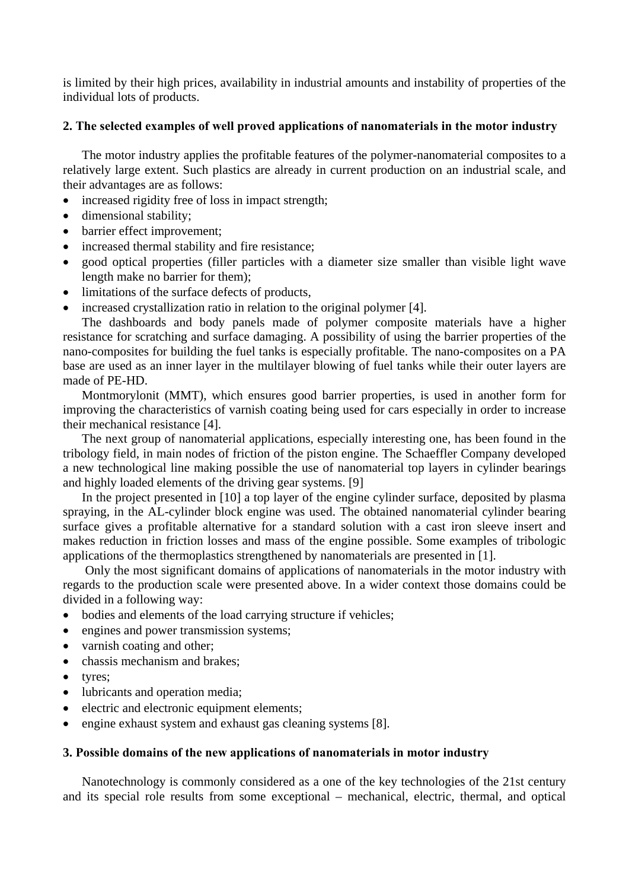is limited by their high prices, availability in industrial amounts and instability of properties of the individual lots of products.

## **2. The selected examples of well proved applications of nanomaterials in the motor industry**

The motor industry applies the profitable features of the polymer-nanomaterial composites to a relatively large extent. Such plastics are already in current production on an industrial scale, and their advantages are as follows:

- increased rigidity free of loss in impact strength;
- dimensional stability:
- barrier effect improvement;
- increased thermal stability and fire resistance;
- good optical properties (filler particles with a diameter size smaller than visible light wave length make no barrier for them);
- limitations of the surface defects of products,
- increased crystallization ratio in relation to the original polymer [4].

The dashboards and body panels made of polymer composite materials have a higher resistance for scratching and surface damaging. A possibility of using the barrier properties of the nano-composites for building the fuel tanks is especially profitable. The nano-composites on a PA base are used as an inner layer in the multilayer blowing of fuel tanks while their outer layers are made of PE-HD.

Montmorylonit (MMT), which ensures good barrier properties, is used in another form for improving the characteristics of varnish coating being used for cars especially in order to increase their mechanical resistance [4].

The next group of nanomaterial applications, especially interesting one, has been found in the tribology field, in main nodes of friction of the piston engine. The Schaeffler Company developed a new technological line making possible the use of nanomaterial top layers in cylinder bearings and highly loaded elements of the driving gear systems. [9]

In the project presented in [10] a top layer of the engine cylinder surface, deposited by plasma spraying, in the AL-cylinder block engine was used. The obtained nanomaterial cylinder bearing surface gives a profitable alternative for a standard solution with a cast iron sleeve insert and makes reduction in friction losses and mass of the engine possible. Some examples of tribologic applications of the thermoplastics strengthened by nanomaterials are presented in [1].

Only the most significant domains of applications of nanomaterials in the motor industry with regards to the production scale were presented above. In a wider context those domains could be divided in a following way:

- bodies and elements of the load carrying structure if vehicles;
- engines and power transmission systems;
- varnish coating and other;
- chassis mechanism and brakes;
- tyres;
- lubricants and operation media;
- electric and electronic equipment elements;
- engine exhaust system and exhaust gas cleaning systems [8].

### **3. Possible domains of the new applications of nanomaterials in motor industry**

Nanotechnology is commonly considered as a one of the key technologies of the 21st century and its special role results from some exceptional – mechanical, electric, thermal, and optical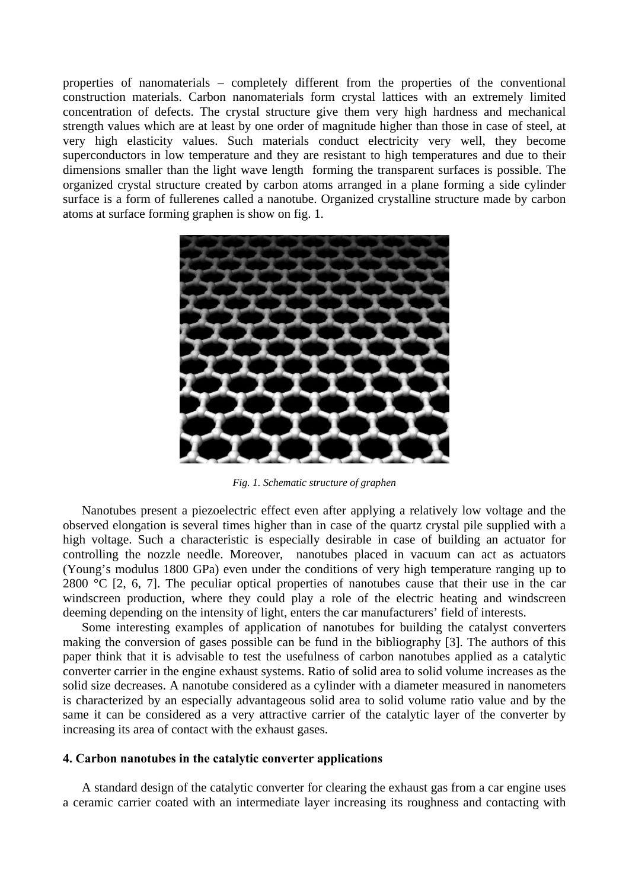properties of nanomaterials – completely different from the properties of the conventional construction materials. Carbon nanomaterials form crystal lattices with an extremely limited concentration of defects. The crystal structure give them very high hardness and mechanical strength values which are at least by one order of magnitude higher than those in case of steel, at very high elasticity values. Such materials conduct electricity very well, they become superconductors in low temperature and they are resistant to high temperatures and due to their dimensions smaller than the light wave length forming the transparent surfaces is possible. The organized crystal structure created by carbon atoms arranged in a plane forming a side cylinder surface is a form of fullerenes called a nanotube. Organized crystalline structure made by carbon atoms at surface forming graphen is show on fig. 1.



*Fig. 1. Schematic structure of graphen* 

Nanotubes present a piezoelectric effect even after applying a relatively low voltage and the observed elongation is several times higher than in case of the quartz crystal pile supplied with a high voltage. Such a characteristic is especially desirable in case of building an actuator for controlling the nozzle needle. Moreover, nanotubes placed in vacuum can act as actuators (Young's modulus 1800 GPa) even under the conditions of very high temperature ranging up to 2800  $^{\circ}$ C [2, 6, 7]. The peculiar optical properties of nanotubes cause that their use in the car windscreen production, where they could play a role of the electric heating and windscreen deeming depending on the intensity of light, enters the car manufacturers' field of interests.

Some interesting examples of application of nanotubes for building the catalyst converters making the conversion of gases possible can be fund in the bibliography [3]. The authors of this paper think that it is advisable to test the usefulness of carbon nanotubes applied as a catalytic converter carrier in the engine exhaust systems. Ratio of solid area to solid volume increases as the solid size decreases. A nanotube considered as a cylinder with a diameter measured in nanometers is characterized by an especially advantageous solid area to solid volume ratio value and by the same it can be considered as a very attractive carrier of the catalytic layer of the converter by increasing its area of contact with the exhaust gases.

#### **4. Carbon nanotubes in the catalytic converter applications**

A standard design of the catalytic converter for clearing the exhaust gas from a car engine uses a ceramic carrier coated with an intermediate layer increasing its roughness and contacting with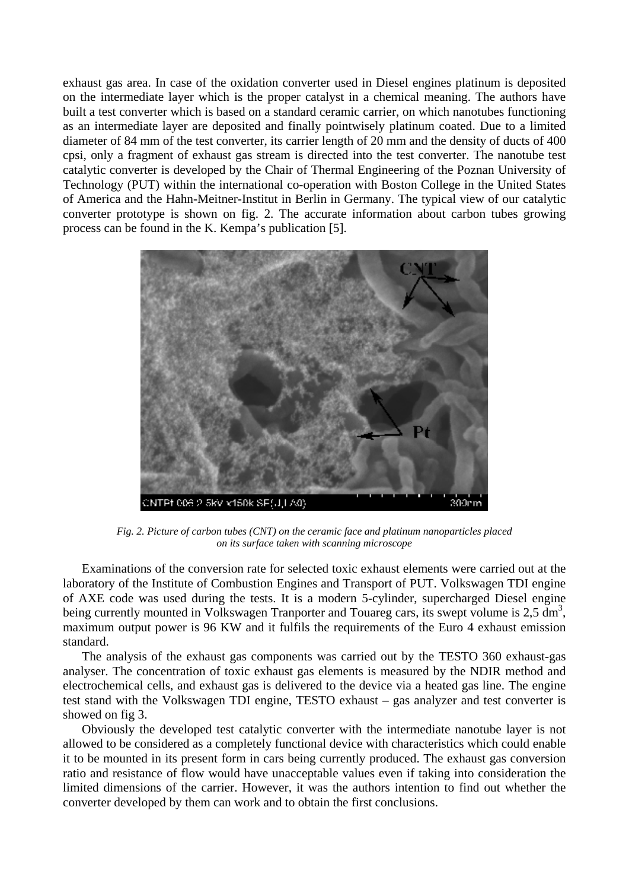exhaust gas area. In case of the oxidation converter used in Diesel engines platinum is deposited on the intermediate layer which is the proper catalyst in a chemical meaning. The authors have built a test converter which is based on a standard ceramic carrier, on which nanotubes functioning as an intermediate layer are deposited and finally pointwisely platinum coated. Due to a limited diameter of 84 mm of the test converter, its carrier length of 20 mm and the density of ducts of 400 cpsi, only a fragment of exhaust gas stream is directed into the test converter. The nanotube test catalytic converter is developed by the Chair of Thermal Engineering of the Poznan University of Technology (PUT) within the international co-operation with Boston College in the United States of America and the Hahn-Meitner-Institut in Berlin in Germany. The typical view of our catalytic converter prototype is shown on fig. 2. The accurate information about carbon tubes growing process can be found in the K. Kempa's publication [5].



*Fig. 2. Picture of carbon tubes (CNT) on the ceramic face and platinum nanoparticles placed on its surface taken with scanning microscope* 

Examinations of the conversion rate for selected toxic exhaust elements were carried out at the laboratory of the Institute of Combustion Engines and Transport of PUT. Volkswagen TDI engine of AXE code was used during the tests. It is a modern 5-cylinder, supercharged Diesel engine being currently mounted in Volkswagen Tranporter and Touareg cars, its swept volume is 2,5 dm<sup>3</sup>, maximum output power is 96 KW and it fulfils the requirements of the Euro 4 exhaust emission standard.

The analysis of the exhaust gas components was carried out by the TESTO 360 exhaust-gas analyser. The concentration of toxic exhaust gas elements is measured by the NDIR method and electrochemical cells, and exhaust gas is delivered to the device via a heated gas line. The engine test stand with the Volkswagen TDI engine, TESTO exhaust – gas analyzer and test converter is showed on fig 3.

Obviously the developed test catalytic converter with the intermediate nanotube layer is not allowed to be considered as a completely functional device with characteristics which could enable it to be mounted in its present form in cars being currently produced. The exhaust gas conversion ratio and resistance of flow would have unacceptable values even if taking into consideration the limited dimensions of the carrier. However, it was the authors intention to find out whether the converter developed by them can work and to obtain the first conclusions.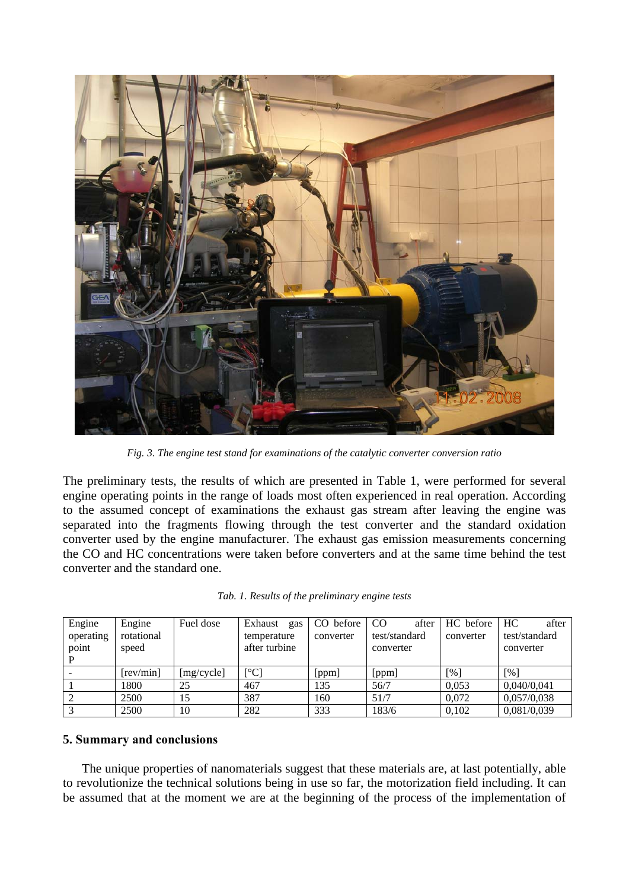![](_page_4_Picture_0.jpeg)

*Fig. 3. The engine test stand for examinations of the catalytic converter conversion ratio*

The preliminary tests, the results of which are presented in Table 1, were performed for several engine operating points in the range of loads most often experienced in real operation. According to the assumed concept of examinations the exhaust gas stream after leaving the engine was separated into the fragments flowing through the test converter and the standard oxidation converter used by the engine manufacturer. The exhaust gas emission measurements concerning the CO and HC concentrations were taken before converters and at the same time behind the test converter and the standard one.

| Engine    | Engine     | Fuel dose  | Exhaust<br>gas           | CO before | <sub>c</sub> o<br>after | HC before | HC<br>after   |
|-----------|------------|------------|--------------------------|-----------|-------------------------|-----------|---------------|
| operating | rotational |            | temperature              | converter | test/standard           | converter | test/standard |
| point     | speed      |            | after turbine            |           | converter               |           | converter     |
|           |            |            |                          |           |                         |           |               |
|           | [rev/min]  | [mg/cycle] | $\lceil$ <sup>o</sup> Cl | [ppm]     | [ppm]                   | [%]       | [%]           |
|           | 1800       | 25         | 467                      | 135       | 56/7                    | 0.053     | 0,040/0,041   |
|           | 2500       | 15         | 387                      | 160       | 51/7                    | 0,072     | 0,057/0,038   |
|           | 2500       | 10         | 282                      | 333       | 183/6                   | 0.102     | 0,081/0,039   |

|  |  |  |  |  | Tab. 1. Results of the preliminary engine tests |  |  |
|--|--|--|--|--|-------------------------------------------------|--|--|
|--|--|--|--|--|-------------------------------------------------|--|--|

### **5. Summary and conclusions**

The unique properties of nanomaterials suggest that these materials are, at last potentially, able to revolutionize the technical solutions being in use so far, the motorization field including. It can be assumed that at the moment we are at the beginning of the process of the implementation of